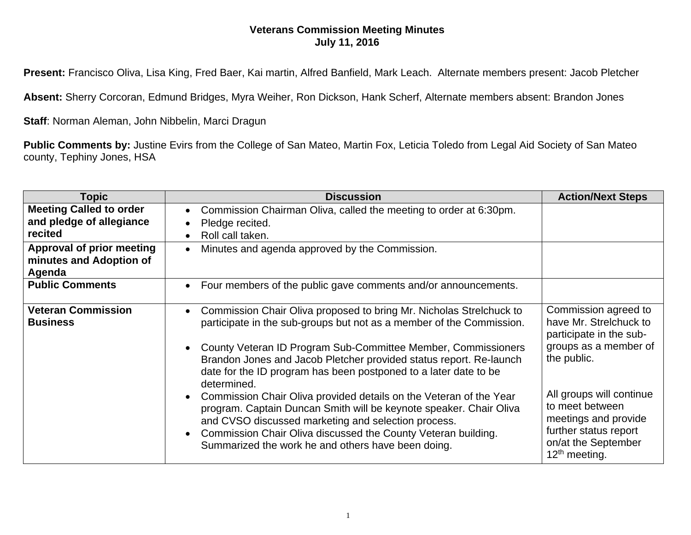## **Veterans Commission Meeting Minutes July 11, 2016**

**Present:** Francisco Oliva, Lisa King, Fred Baer, Kai martin, Alfred Banfield, Mark Leach. Alternate members present: Jacob Pletcher

**Absent:** Sherry Corcoran, Edmund Bridges, Myra Weiher, Ron Dickson, Hank Scherf, Alternate members absent: Brandon Jones

**Staff**: Norman Aleman, John Nibbelin, Marci Dragun

**Public Comments by:** Justine Evirs from the College of San Mateo, Martin Fox, Leticia Toledo from Legal Aid Society of San Mateo county, Tephiny Jones, HSA

| <b>Topic</b>                                                          | <b>Discussion</b>                                                                                                                                                                                                                                                                                                                                                     | <b>Action/Next Steps</b>                                                                                                                         |
|-----------------------------------------------------------------------|-----------------------------------------------------------------------------------------------------------------------------------------------------------------------------------------------------------------------------------------------------------------------------------------------------------------------------------------------------------------------|--------------------------------------------------------------------------------------------------------------------------------------------------|
| <b>Meeting Called to order</b><br>and pledge of allegiance<br>recited | Commission Chairman Oliva, called the meeting to order at 6:30pm.<br>Pledge recited.<br>Roll call taken.                                                                                                                                                                                                                                                              |                                                                                                                                                  |
| <b>Approval of prior meeting</b><br>minutes and Adoption of<br>Agenda | Minutes and agenda approved by the Commission.<br>$\bullet$                                                                                                                                                                                                                                                                                                           |                                                                                                                                                  |
| <b>Public Comments</b>                                                | Four members of the public gave comments and/or announcements.<br>$\bullet$                                                                                                                                                                                                                                                                                           |                                                                                                                                                  |
| <b>Veteran Commission</b><br><b>Business</b>                          | Commission Chair Oliva proposed to bring Mr. Nicholas Strelchuck to<br>participate in the sub-groups but not as a member of the Commission.<br>County Veteran ID Program Sub-Committee Member, Commissioners<br>Brandon Jones and Jacob Pletcher provided status report. Re-launch<br>date for the ID program has been postponed to a later date to be<br>determined. | Commission agreed to<br>have Mr. Strelchuck to<br>participate in the sub-<br>groups as a member of<br>the public.                                |
|                                                                       | Commission Chair Oliva provided details on the Veteran of the Year<br>program. Captain Duncan Smith will be keynote speaker. Chair Oliva<br>and CVSO discussed marketing and selection process.<br>Commission Chair Oliva discussed the County Veteran building.<br>Summarized the work he and others have been doing.                                                | All groups will continue<br>to meet between<br>meetings and provide<br>further status report<br>on/at the September<br>12 <sup>th</sup> meeting. |